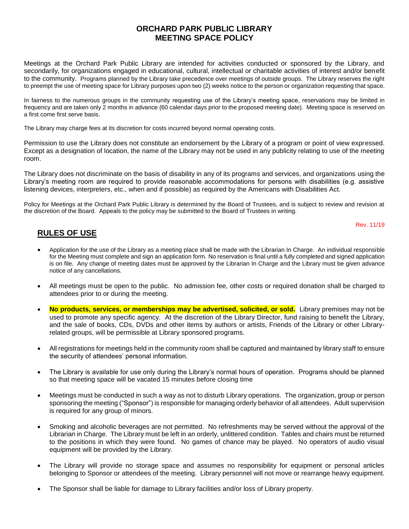## **ORCHARD PARK PUBLIC LIBRARY MEETING SPACE POLICY**

Meetings at the Orchard Park Public Library are intended for activities conducted or sponsored by the Library, and secondarily, for organizations engaged in educational, cultural, intellectual or charitable activities of interest and/or benefit to the community. Programs planned by the Library take precedence over meetings of outside groups. The Library reserves the right to preempt the use of meeting space for Library purposes upon two (2) weeks notice to the person or organization requesting that space.

In fairness to the numerous groups in the community requesting use of the Library's meeting space, reservations may be limited in frequency and are taken only 2 months in advance (60 calendar days prior to the proposed meeting date). Meeting space is reserved on a first come first serve basis.

The Library may charge fees at its discretion for costs incurred beyond normal operating costs.

Permission to use the Library does not constitute an endorsement by the Library of a program or point of view expressed. Except as a designation of location, the name of the Library may not be used in any publicity relating to use of the meeting room.

The Library does not discriminate on the basis of disability in any of its programs and services, and organizations using the Library's meeting room are required to provide reasonable accommodations for persons with disabilities (e.g. assistive listening devices, interpreters, etc., when and if possible) as required by the Americans with Disabilities Act.

Policy for Meetings at the Orchard Park Public Library is determined by the Board of Trustees, and is subject to review and revision at the discretion of the Board. Appeals to the policy may be submitted to the Board of Trustees in writing.

Rev. 11/19

## **RULES OF USE**

- Application for the use of the Library as a meeting place shall be made with the Librarian In Charge. An individual responsible for the Meeting must complete and sign an application form. No reservation is final until a fully completed and signed application is on file. Any change of meeting dates must be approved by the Librarian In Charge and the Library must be given advance notice of any cancellations.
- All meetings must be open to the public. No admission fee, other costs or required donation shall be charged to attendees prior to or during the meeting.
- **No products, services, or memberships may be advertised, solicited, or sold.** Library premises may not be used to promote any specific agency.At the discretion of the Library Director, fund raising to benefit the Library, and the sale of books, CDs, DVDs and other items by authors or artists, Friends of the Library or other Libraryrelated groups, will be permissible at Library sponsored programs.
- All registrations for meetings held in the community room shall be captured and maintained by library staff to ensure the security of attendees' personal information.
- The Library is available for use only during the Library's normal hours of operation. Programs should be planned so that meeting space will be vacated 15 minutes before closing time
- Meetings must be conducted in such a way as not to disturb Library operations. The organization, group or person sponsoring the meeting ("Sponsor") is responsible for managing orderly behavior of all attendees. Adult supervision is required for any group of minors.
- Smoking and alcoholic beverages are not permitted. No refreshments may be served without the approval of the Librarian in Charge. The Library must be left in an orderly, unlittered condition. Tables and chairs must be returned to the positions in which they were found. No games of chance may be played. No operators of audio visual equipment will be provided by the Library.
- The Library will provide no storage space and assumes no responsibility for equipment or personal articles belonging to Sponsor or attendees of the meeting. Library personnel will not move or rearrange heavy equipment.
- The Sponsor shall be liable for damage to Library facilities and/or loss of Library property.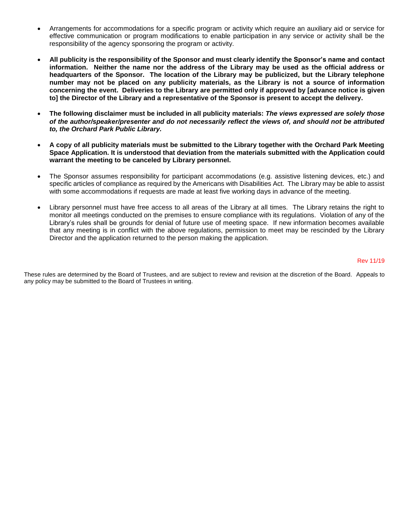- Arrangements for accommodations for a specific program or activity which require an auxiliary aid or service for effective communication or program modifications to enable participation in any service or activity shall be the responsibility of the agency sponsoring the program or activity.
- **All publicity is the responsibility of the Sponsor and must clearly identify the Sponsor's name and contact information. Neither the name nor the address of the Library may be used as the official address or headquarters of the Sponsor. The location of the Library may be publicized, but the Library telephone number may not be placed on any publicity materials, as the Library is not a source of information concerning the event. Deliveries to the Library are permitted only if approved by [advance notice is given to] the Director of the Library and a representative of the Sponsor is present to accept the delivery.**
- **The following disclaimer must be included in all publicity materials:** *The views expressed are solely those of the author/speaker/presenter and do not necessarily reflect the views of, and should not be attributed to, the Orchard Park Public Library.*
- **A copy of all publicity materials must be submitted to the Library together with the Orchard Park Meeting Space Application. It is understood that deviation from the materials submitted with the Application could warrant the meeting to be canceled by Library personnel.**
- The Sponsor assumes responsibility for participant accommodations (e.g. assistive listening devices, etc.) and specific articles of compliance as required by the Americans with Disabilities Act. The Library may be able to assist with some accommodations if requests are made at least five working days in advance of the meeting.
- Library personnel must have free access to all areas of the Library at all times. The Library retains the right to monitor all meetings conducted on the premises to ensure compliance with its regulations. Violation of any of the Library's rules shall be grounds for denial of future use of meeting space. If new information becomes available that any meeting is in conflict with the above regulations, permission to meet may be rescinded by the Library Director and the application returned to the person making the application.

## Rev 11/19

These rules are determined by the Board of Trustees, and are subject to review and revision at the discretion of the Board. Appeals to any policy may be submitted to the Board of Trustees in writing.